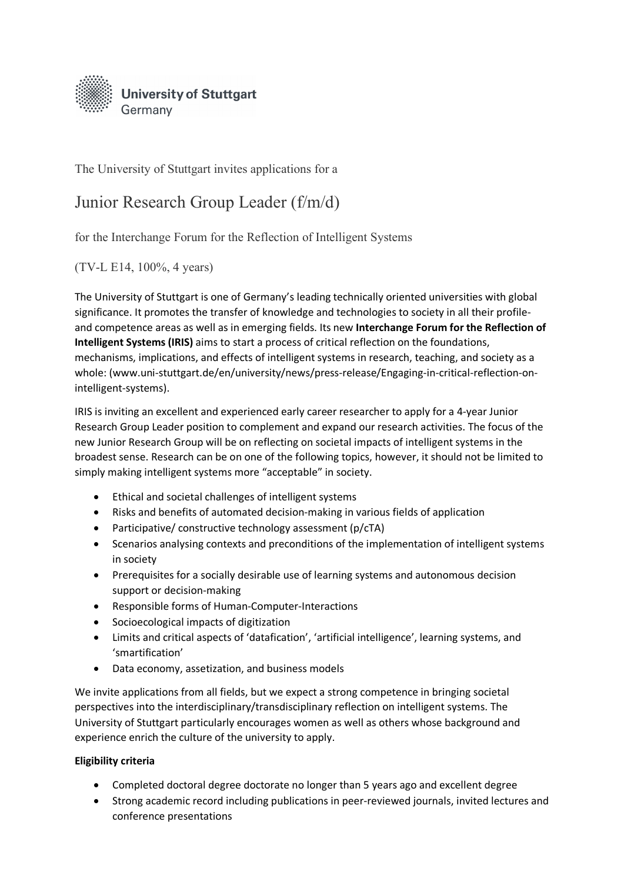

The University of Stuttgart invites applications for a

## Junior Research Group Leader (f/m/d)

for the Interchange Forum for the Reflection of Intelligent Systems

(TV-L E14, 100%, 4 years)

The University of Stuttgart is one of Germany's leading technically oriented universities with global significance. It promotes the transfer of knowledge and technologies to society in all their profileand competence areas as well as in emerging fields. Its new **Interchange Forum for the Reflection of Intelligent Systems (IRIS)** aims to start a process of critical reflection on the foundations, mechanisms, implications, and effects of intelligent systems in research, teaching, and society as a whole: (www.uni-stuttgart.de/en/university/news/press-release/Engaging-in-critical-reflection-onintelligent-systems).

IRIS is inviting an excellent and experienced early career researcher to apply for a 4-year Junior Research Group Leader position to complement and expand our research activities. The focus of the new Junior Research Group will be on reflecting on societal impacts of intelligent systems in the broadest sense. Research can be on one of the following topics, however, it should not be limited to simply making intelligent systems more "acceptable" in society.

- Ethical and societal challenges of intelligent systems
- Risks and benefits of automated decision-making in various fields of application
- Participative/ constructive technology assessment (p/cTA)
- Scenarios analysing contexts and preconditions of the implementation of intelligent systems in society
- Prerequisites for a socially desirable use of learning systems and autonomous decision support or decision-making
- Responsible forms of Human-Computer-Interactions
- Socioecological impacts of digitization
- Limits and critical aspects of 'datafication', 'artificial intelligence', learning systems, and 'smartification'
- Data economy, assetization, and business models

We invite applications from all fields, but we expect a strong competence in bringing societal perspectives into the interdisciplinary/transdisciplinary reflection on intelligent systems. The University of Stuttgart particularly encourages women as well as others whose background and experience enrich the culture of the university to apply.

## **Eligibility criteria**

- Completed doctoral degree doctorate no longer than 5 years ago and excellent degree
- Strong academic record including publications in peer-reviewed journals, invited lectures and conference presentations